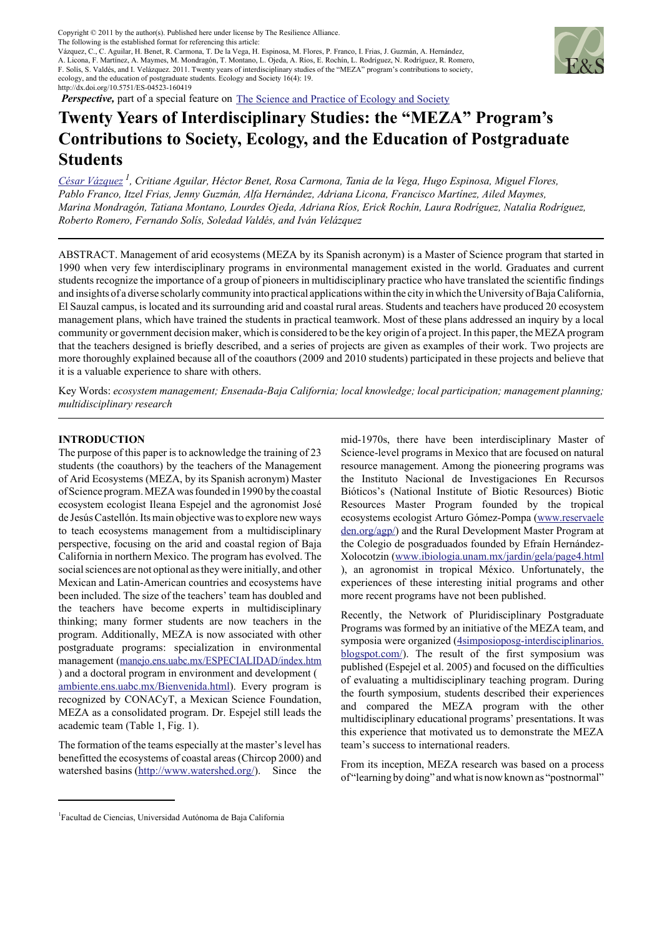Copyright © 2011 by the author(s). Published here under license by the Resilience Alliance. Copyright © 2011 by the author(s). Published here under license by The Resilience Alliance. The following is the established format for referencing this article:<br>Vázquez, C., C. Aguilar, H. Benet, R. Carmona, T. De la Vega, H. Espinosa, M. Flores, P. Franco, I. Frias, J. Guzmán, A. Hernández, The following is the established format for referencing this article:

http://dx.doi.org/10.5751/ES-04523-160419

vazquez, C., C. Agunai, H. Benet, K. Camiona, T. De la vega, H. Espinosa, M. Flores, F. Franco, I. Frias, J. Guzman, A. Hemanuez,<br>A. Licona, F. Martínez, A. Maymes, M. Mondragón, T. Montano, L. Ojeda, A. Ríos, E. Rochín, L F. Solis, S. Valdés, and I. Velázquez. 2011. Twenty years of interdisciplinary studies of the "MEZA" program's contributions to society, ecology, and the education of postgraduate students. Ecology and Society 16(4): 19.



*Perspective,* part of a special feature on **The Science and Practice of Ecology and Society** 

# **Twenty Years of Interdisciplinary Studies: the "MEZA" Program's Contributions to Society, Ecology, and the Education of Postgraduate Students**

*César Vázquez 1, Critiane Aguilar, Héctor Benet, Rosa Carmona, Tania de la Vega, Hugo Espinosa, Miguel Flores, Pablo Franco, Itzel Frias, Jenny Guzmán, Alfa Hernández, Adriana Licona, Francisco Martínez, Ailed Maymes, Marina Mondragón, Tatiana Montano, Lourdes Ojeda, Adriana Ríos, Erick Rochín, Laura Rodríguez, Natalia Rodríguez, Roberto Romero, Fernando Solís, Soledad Valdés, and Iván Velázquez*

ABSTRACT. Management of arid ecosystems (MEZA by its Spanish acronym) is a Master of Science program that started in 1990 when very few interdisciplinary programs in environmental management existed in the world. Graduates and current students recognize the importance of a group of pioneers in multidisciplinary practice who have translated the scientific findings and insights of a diverse scholarly community into practical applications within the city in which the University of Baja California, El Sauzal campus, is located and its surrounding arid and coastal rural areas. Students and teachers have produced 20 ecosystem management plans, which have trained the students in practical teamwork. Most of these plans addressed an inquiry by a local community or government decision maker, which is considered to be the key origin of a project. In this paper, the MEZA program that the teachers designed is briefly described, and a series of projects are given as examples of their work. Two projects are more thoroughly explained because all of the coauthors (2009 and 2010 students) participated in these projects and believe that it is a valuable experience to share with others.

Key Words: *ecosystem management; Ensenada-Baja California; local knowledge; local participation; management planning; multidisciplinary research*

# **INTRODUCTION**

The purpose of this paper is to acknowledge the training of 23 students (the coauthors) by the teachers of the Management of Arid Ecosystems (MEZA, by its Spanish acronym) Master of Science program. MEZA was founded in 1990 by the coastal ecosystem ecologist Ileana Espejel and the agronomist José de Jesús Castellón. Its main objective was to explore new ways to teach ecosystems management from a multidisciplinary perspective, focusing on the arid and coastal region of Baja California in northern Mexico. The program has evolved. The social sciences are not optional as they were initially, and other Mexican and Latin-American countries and ecosystems have been included. The size of the teachers' team has doubled and the teachers have become experts in multidisciplinary thinking; many former students are now teachers in the program. Additionally, MEZA is now associated with other postgraduate programs: specialization in environmental management (manejo.ens.uabc.mx/ESPECIALIDAD/index.htm ) and a doctoral program in environment and development ( ambiente.ens.uabc.mx/Bienvenida.html). Every program is recognized by CONACyT, a Mexican Science Foundation, MEZA as a consolidated program. Dr. Espejel still leads the academic team (Table 1, Fig. 1).

The formation of the teams especially at the master's level has benefitted the ecosystems of coastal areas (Chircop 2000) and watershed basins (http://www.watershed.org/). Since the mid-1970s, there have been interdisciplinary Master of Science-level programs in Mexico that are focused on natural resource management. Among the pioneering programs was the Instituto Nacional de Investigaciones En Recursos Bióticos's (National Institute of Biotic Resources) Biotic Resources Master Program founded by the tropical ecosystems ecologist Arturo Gómez-Pompa (www.reservaele den.org/agp/) and the Rural Development Master Program at the Colegio de posgraduados founded by Efraín Hernández-Xolocotzin (www.ibiologia.unam.mx/jardin/gela/page4.html ), an agronomist in tropical México. Unfortunately, the experiences of these interesting initial programs and other more recent programs have not been published.

Recently, the Network of Pluridisciplinary Postgraduate Programs was formed by an initiative of the MEZA team, and symposia were organized (4simposioposg-interdisciplinarios. blogspot.com/). The result of the first symposium was published (Espejel et al. 2005) and focused on the difficulties of evaluating a multidisciplinary teaching program. During the fourth symposium, students described their experiences and compared the MEZA program with the other multidisciplinary educational programs' presentations. It was this experience that motivated us to demonstrate the MEZA team's success to international readers.

From its inception, MEZA research was based on a process of "learning by doing" and what is now known as "postnormal"

<sup>&</sup>lt;sup>1</sup>Facultad de Ciencias, Universidad Autónoma de Baja California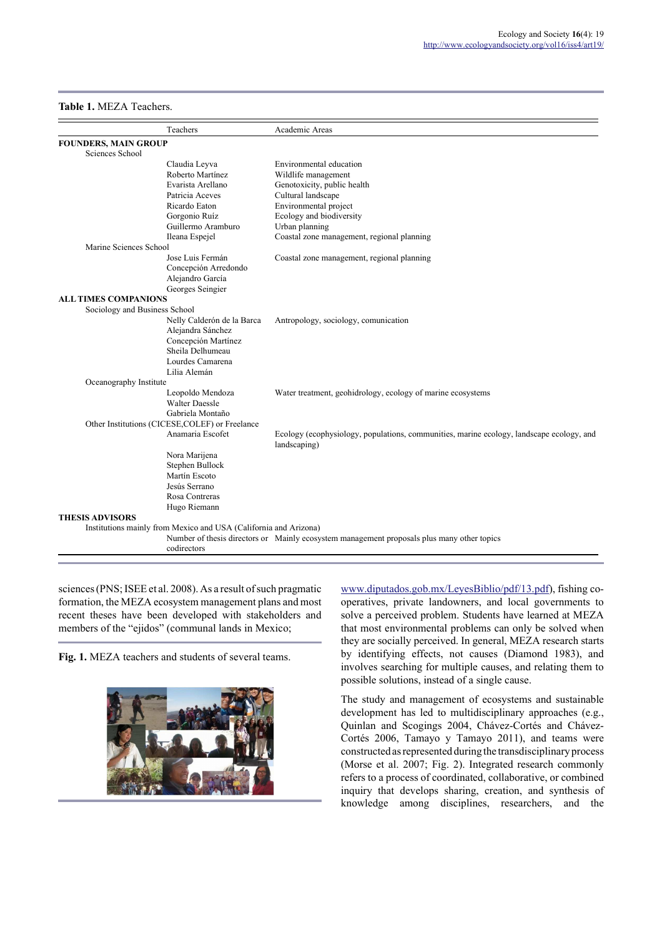## **Table 1.** MEZA Teachers.

|                               | Teachers                                                         | Academic Areas                                                                                           |
|-------------------------------|------------------------------------------------------------------|----------------------------------------------------------------------------------------------------------|
| <b>FOUNDERS, MAIN GROUP</b>   |                                                                  |                                                                                                          |
| Sciences School               |                                                                  |                                                                                                          |
|                               | Claudia Leyva                                                    | Environmental education                                                                                  |
|                               | Roberto Martínez                                                 | Wildlife management                                                                                      |
|                               | Evarista Arellano                                                | Genotoxicity, public health                                                                              |
|                               | Patricia Aceves                                                  | Cultural landscape                                                                                       |
|                               | Ricardo Eaton                                                    | Environmental project                                                                                    |
|                               | Gorgonio Ruíz                                                    | Ecology and biodiversity                                                                                 |
|                               | Guillermo Aramburo                                               | Urban planning                                                                                           |
|                               | Ileana Espejel                                                   | Coastal zone management, regional planning                                                               |
| Marine Sciences School        |                                                                  |                                                                                                          |
|                               | Jose Luis Fermán                                                 | Coastal zone management, regional planning                                                               |
|                               | Concepción Arredondo                                             |                                                                                                          |
|                               | Alejandro García                                                 |                                                                                                          |
|                               | Georges Seingier                                                 |                                                                                                          |
| <b>ALL TIMES COMPANIONS</b>   |                                                                  |                                                                                                          |
| Sociology and Business School |                                                                  |                                                                                                          |
|                               | Nelly Calderón de la Barca                                       | Antropology, sociology, comunication                                                                     |
|                               | Alejandra Sánchez                                                |                                                                                                          |
|                               | Concepción Martínez                                              |                                                                                                          |
|                               | Sheila Delhumeau                                                 |                                                                                                          |
|                               | Lourdes Camarena                                                 |                                                                                                          |
|                               | Lilia Alemán                                                     |                                                                                                          |
| Oceanography Institute        |                                                                  |                                                                                                          |
|                               | Leopoldo Mendoza                                                 | Water treatment, geohidrology, ecology of marine ecosystems                                              |
|                               | <b>Walter Daessle</b>                                            |                                                                                                          |
|                               | Gabriela Montaño                                                 |                                                                                                          |
|                               | Other Institutions (CICESE, COLEF) or Freelance                  |                                                                                                          |
|                               | Anamaria Escofet                                                 | Ecology (ecophysiology, populations, communities, marine ecology, landscape ecology, and<br>landscaping) |
|                               | Nora Marijena                                                    |                                                                                                          |
|                               | Stephen Bullock                                                  |                                                                                                          |
|                               | Martín Escoto                                                    |                                                                                                          |
|                               | Jesús Serrano                                                    |                                                                                                          |
|                               | Rosa Contreras                                                   |                                                                                                          |
|                               | Hugo Riemann                                                     |                                                                                                          |
| <b>THESIS ADVISORS</b>        |                                                                  |                                                                                                          |
|                               | Institutions mainly from Mexico and USA (California and Arizona) |                                                                                                          |
|                               |                                                                  | Number of thesis directors or Mainly ecosystem management proposals plus many other topics               |
|                               | codirectors                                                      |                                                                                                          |

sciences (PNS; ISEE et al. 2008). As a result of such pragmatic formation, the MEZA ecosystem management plans and most recent theses have been developed with stakeholders and members of the "ejidos" (communal lands in Mexico;

**Fig. 1.** MEZA teachers and students of several teams.



www.diputados.gob.mx/LeyesBiblio/pdf/13.pdf), fishing cooperatives, private landowners, and local governments to solve a perceived problem. Students have learned at MEZA that most environmental problems can only be solved when they are socially perceived. In general, MEZA research starts by identifying effects, not causes (Diamond 1983), and involves searching for multiple causes, and relating them to possible solutions, instead of a single cause.

The study and management of ecosystems and sustainable development has led to multidisciplinary approaches (e.g., Quinlan and Scogings 2004, Chávez-Cortés and Chávez-Cortés 2006, Tamayo y Tamayo 2011), and teams were constructed as represented during the transdisciplinary process (Morse et al. 2007; Fig. 2). Integrated research commonly refers to a process of coordinated, collaborative, or combined inquiry that develops sharing, creation, and synthesis of knowledge among disciplines, researchers, and the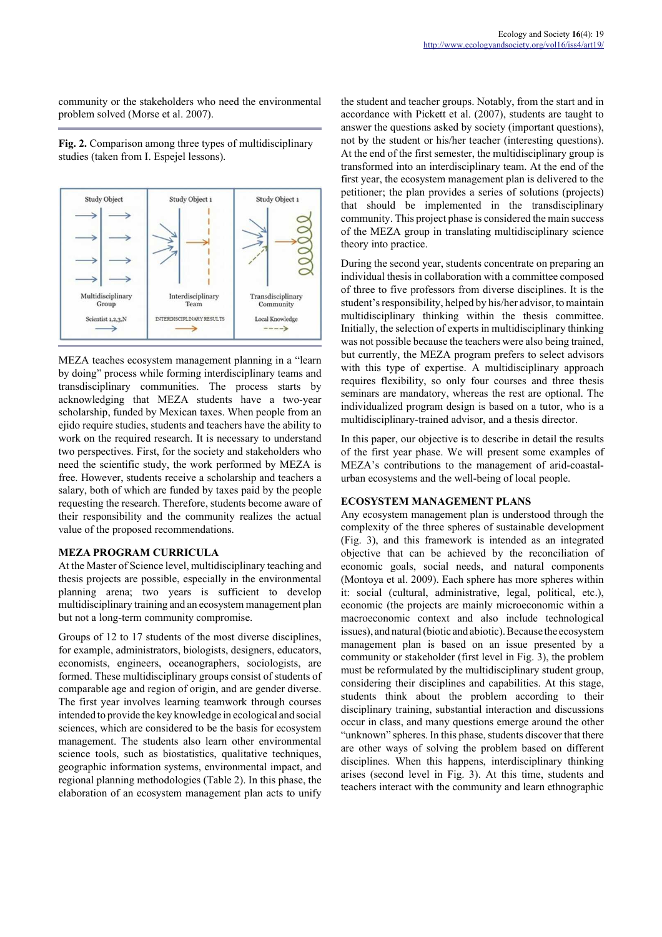community or the stakeholders who need the environmental problem solved (Morse et al. 2007).

**Fig. 2.** Comparison among three types of multidisciplinary studies (taken from I. Espejel lessons).



MEZA teaches ecosystem management planning in a "learn by doing" process while forming interdisciplinary teams and transdisciplinary communities. The process starts by acknowledging that MEZA students have a two-year scholarship, funded by Mexican taxes. When people from an ejido require studies, students and teachers have the ability to work on the required research. It is necessary to understand two perspectives. First, for the society and stakeholders who need the scientific study, the work performed by MEZA is free. However, students receive a scholarship and teachers a salary, both of which are funded by taxes paid by the people requesting the research. Therefore, students become aware of their responsibility and the community realizes the actual value of the proposed recommendations.

#### **MEZA PROGRAM CURRICULA**

At the Master of Science level, multidisciplinary teaching and thesis projects are possible, especially in the environmental planning arena; two years is sufficient to develop multidisciplinary training and an ecosystem management plan but not a long-term community compromise.

Groups of 12 to 17 students of the most diverse disciplines, for example, administrators, biologists, designers, educators, economists, engineers, oceanographers, sociologists, are formed. These multidisciplinary groups consist of students of comparable age and region of origin, and are gender diverse. The first year involves learning teamwork through courses intended to provide the key knowledge in ecological and social sciences, which are considered to be the basis for ecosystem management. The students also learn other environmental science tools, such as biostatistics, qualitative techniques, geographic information systems, environmental impact, and regional planning methodologies (Table 2). In this phase, the elaboration of an ecosystem management plan acts to unify the student and teacher groups. Notably, from the start and in accordance with Pickett et al. (2007), students are taught to answer the questions asked by society (important questions), not by the student or his/her teacher (interesting questions). At the end of the first semester, the multidisciplinary group is transformed into an interdisciplinary team. At the end of the first year, the ecosystem management plan is delivered to the petitioner; the plan provides a series of solutions (projects) that should be implemented in the transdisciplinary community. This project phase is considered the main success of the MEZA group in translating multidisciplinary science theory into practice.

During the second year, students concentrate on preparing an individual thesis in collaboration with a committee composed of three to five professors from diverse disciplines. It is the student's responsibility, helped by his/her advisor, to maintain multidisciplinary thinking within the thesis committee. Initially, the selection of experts in multidisciplinary thinking was not possible because the teachers were also being trained, but currently, the MEZA program prefers to select advisors with this type of expertise. A multidisciplinary approach requires flexibility, so only four courses and three thesis seminars are mandatory, whereas the rest are optional. The individualized program design is based on a tutor, who is a multidisciplinary-trained advisor, and a thesis director.

In this paper, our objective is to describe in detail the results of the first year phase. We will present some examples of MEZA's contributions to the management of arid-coastalurban ecosystems and the well-being of local people.

# **ECOSYSTEM MANAGEMENT PLANS**

Any ecosystem management plan is understood through the complexity of the three spheres of sustainable development (Fig. 3), and this framework is intended as an integrated objective that can be achieved by the reconciliation of economic goals, social needs, and natural components (Montoya et al. 2009). Each sphere has more spheres within it: social (cultural, administrative, legal, political, etc.), economic (the projects are mainly microeconomic within a macroeconomic context and also include technological issues), and natural (biotic and abiotic). Because the ecosystem management plan is based on an issue presented by a community or stakeholder (first level in Fig. 3), the problem must be reformulated by the multidisciplinary student group, considering their disciplines and capabilities. At this stage, students think about the problem according to their disciplinary training, substantial interaction and discussions occur in class, and many questions emerge around the other "unknown" spheres. In this phase, students discover that there are other ways of solving the problem based on different disciplines. When this happens, interdisciplinary thinking arises (second level in Fig. 3). At this time, students and teachers interact with the community and learn ethnographic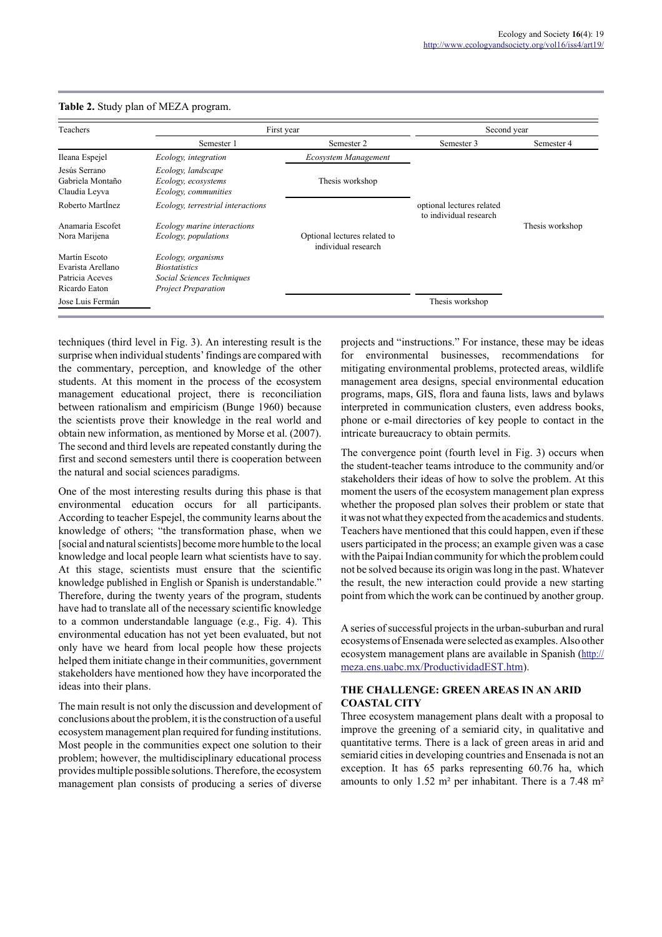| Teachers                                           | First year                                                        |                                                     | Second year                                         |                 |
|----------------------------------------------------|-------------------------------------------------------------------|-----------------------------------------------------|-----------------------------------------------------|-----------------|
|                                                    | Semester 1                                                        | Semester 2                                          | Semester 3                                          | Semester 4      |
| Ileana Espejel                                     | Ecology, integration                                              | Ecosystem Management                                |                                                     |                 |
| Jesús Serrano<br>Gabriela Montaño<br>Claudia Leyva | Ecology, landscape<br>Ecology, ecosystems<br>Ecology, communities | Thesis workshop                                     |                                                     |                 |
| Roberto Martinez                                   | Ecology, terrestrial interactions                                 |                                                     | optional lectures related<br>to individual research |                 |
| Anamaria Escofet                                   | Ecology marine interactions                                       |                                                     |                                                     | Thesis workshop |
| Nora Marijena                                      | Ecology, populations                                              | Optional lectures related to<br>individual research |                                                     |                 |
| Martín Escoto                                      | Ecology, organisms                                                |                                                     |                                                     |                 |
| Evarista Arellano                                  | <i>Biostatistics</i>                                              |                                                     |                                                     |                 |
| Patricia Aceves                                    | Social Sciences Techniques                                        |                                                     |                                                     |                 |
| Ricardo Eaton                                      | <b>Project Preparation</b>                                        |                                                     |                                                     |                 |
| Jose Luis Fermán                                   |                                                                   |                                                     | Thesis workshop                                     |                 |

#### **Table 2.** Study plan of MEZA program.

techniques (third level in Fig. 3). An interesting result is the surprise when individual students' findings are compared with the commentary, perception, and knowledge of the other students. At this moment in the process of the ecosystem management educational project, there is reconciliation between rationalism and empiricism (Bunge 1960) because the scientists prove their knowledge in the real world and obtain new information, as mentioned by Morse et al. (2007). The second and third levels are repeated constantly during the first and second semesters until there is cooperation between the natural and social sciences paradigms.

One of the most interesting results during this phase is that environmental education occurs for all participants. According to teacher Espejel, the community learns about the knowledge of others; "the transformation phase, when we [social and natural scientists] become more humble to the local knowledge and local people learn what scientists have to say. At this stage, scientists must ensure that the scientific knowledge published in English or Spanish is understandable." Therefore, during the twenty years of the program, students have had to translate all of the necessary scientific knowledge to a common understandable language (e.g., Fig. 4). This environmental education has not yet been evaluated, but not only have we heard from local people how these projects helped them initiate change in their communities, government stakeholders have mentioned how they have incorporated the ideas into their plans.

The main result is not only the discussion and development of conclusions about the problem, it is the construction of a useful ecosystem management plan required for funding institutions. Most people in the communities expect one solution to their problem; however, the multidisciplinary educational process provides multiple possible solutions. Therefore, the ecosystem management plan consists of producing a series of diverse

projects and "instructions." For instance, these may be ideas for environmental businesses, recommendations for mitigating environmental problems, protected areas, wildlife management area designs, special environmental education programs, maps, GIS, flora and fauna lists, laws and bylaws interpreted in communication clusters, even address books, phone or e-mail directories of key people to contact in the intricate bureaucracy to obtain permits.

The convergence point (fourth level in Fig. 3) occurs when the student-teacher teams introduce to the community and/or stakeholders their ideas of how to solve the problem. At this moment the users of the ecosystem management plan express whether the proposed plan solves their problem or state that it was not what they expected from the academics and students. Teachers have mentioned that this could happen, even if these users participated in the process; an example given was a case with the Paipai Indian community for which the problem could not be solved because its origin was long in the past. Whatever the result, the new interaction could provide a new starting point from which the work can be continued by another group.

A series of successful projects in the urban-suburban and rural ecosystems of Ensenada were selected as examples. Also other ecosystem management plans are available in Spanish (http:// meza.ens.uabc.mx/ProductividadEST.htm).

## **THE CHALLENGE: GREEN AREAS IN AN ARID COASTAL CITY**

Three ecosystem management plans dealt with a proposal to improve the greening of a semiarid city, in qualitative and quantitative terms. There is a lack of green areas in arid and semiarid cities in developing countries and Ensenada is not an exception. It has 65 parks representing 60.76 ha, which amounts to only 1.52 m² per inhabitant. There is a 7.48 m²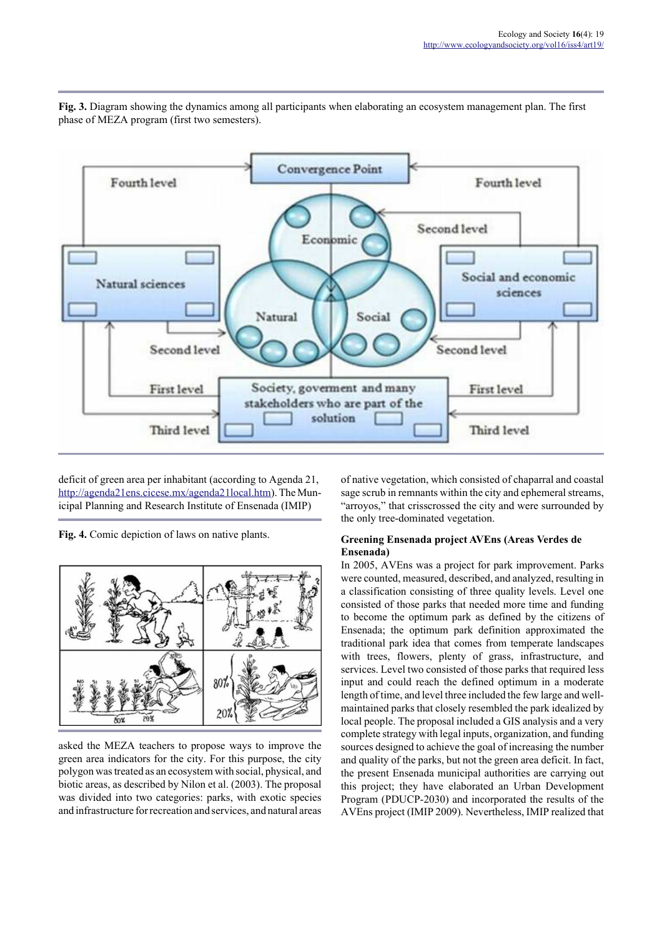

**Fig. 3.** Diagram showing the dynamics among all participants when elaborating an ecosystem management plan. The first phase of MEZA program (first two semesters).

deficit of green area per inhabitant (according to Agenda 21, http://agenda21ens.cicese.mx/agenda21local.htm). The Municipal Planning and Research Institute of Ensenada (IMIP)

**Fig. 4.** Comic depiction of laws on native plants.



asked the MEZA teachers to propose ways to improve the green area indicators for the city. For this purpose, the city polygon was treated as an ecosystem with social, physical, and biotic areas, as described by Nilon et al. (2003). The proposal was divided into two categories: parks, with exotic species and infrastructure for recreation and services, and natural areas

of native vegetation, which consisted of chaparral and coastal sage scrub in remnants within the city and ephemeral streams, "arroyos," that crisscrossed the city and were surrounded by the only tree-dominated vegetation.

## **Greening Ensenada project AVEns (Areas Verdes de Ensenada)**

In 2005, AVEns was a project for park improvement. Parks were counted, measured, described, and analyzed, resulting in a classification consisting of three quality levels. Level one consisted of those parks that needed more time and funding to become the optimum park as defined by the citizens of Ensenada; the optimum park definition approximated the traditional park idea that comes from temperate landscapes with trees, flowers, plenty of grass, infrastructure, and services. Level two consisted of those parks that required less input and could reach the defined optimum in a moderate length of time, and level three included the few large and wellmaintained parks that closely resembled the park idealized by local people. The proposal included a GIS analysis and a very complete strategy with legal inputs, organization, and funding sources designed to achieve the goal of increasing the number and quality of the parks, but not the green area deficit. In fact, the present Ensenada municipal authorities are carrying out this project; they have elaborated an Urban Development Program (PDUCP-2030) and incorporated the results of the AVEns project (IMIP 2009). Nevertheless, IMIP realized that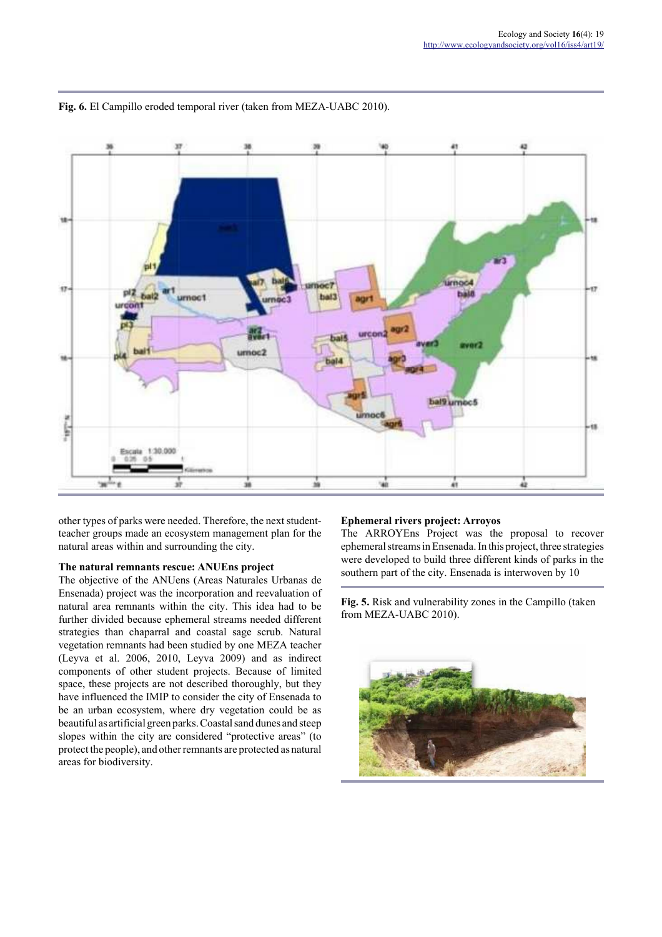

**Fig. 6.** El Campillo eroded temporal river (taken from MEZA-UABC 2010).

other types of parks were needed. Therefore, the next studentteacher groups made an ecosystem management plan for the natural areas within and surrounding the city.

#### **The natural remnants rescue: ANUEns project**

The objective of the ANUens (Areas Naturales Urbanas de Ensenada) project was the incorporation and reevaluation of natural area remnants within the city. This idea had to be further divided because ephemeral streams needed different strategies than chaparral and coastal sage scrub. Natural vegetation remnants had been studied by one MEZA teacher (Leyva et al. 2006, 2010, Leyva 2009) and as indirect components of other student projects. Because of limited space, these projects are not described thoroughly, but they have influenced the IMIP to consider the city of Ensenada to be an urban ecosystem, where dry vegetation could be as beautiful as artificial green parks. Coastal sand dunes and steep slopes within the city are considered "protective areas" (to protect the people), and other remnants are protected as natural areas for biodiversity.

# **Ephemeral rivers project: Arroyos**

The ARROYEns Project was the proposal to recover ephemeral streams in Ensenada. In this project, three strategies were developed to build three different kinds of parks in the southern part of the city. Ensenada is interwoven by 10

**Fig. 5.** Risk and vulnerability zones in the Campillo (taken from MEZA-UABC 2010).

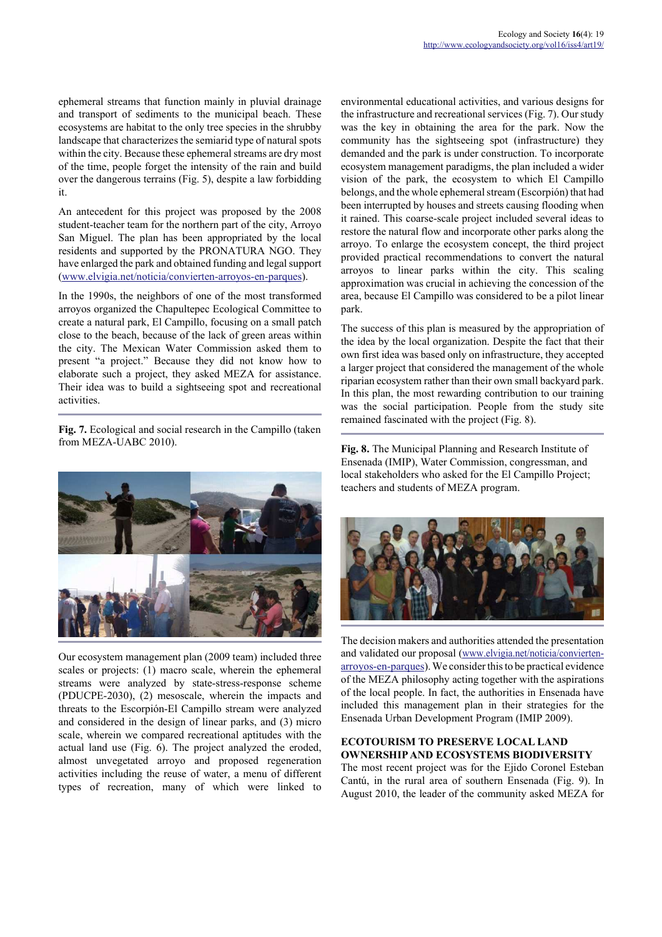ephemeral streams that function mainly in pluvial drainage and transport of sediments to the municipal beach. These ecosystems are habitat to the only tree species in the shrubby landscape that characterizes the semiarid type of natural spots within the city. Because these ephemeral streams are dry most of the time, people forget the intensity of the rain and build over the dangerous terrains (Fig. 5), despite a law forbidding it.

An antecedent for this project was proposed by the 2008 student-teacher team for the northern part of the city, Arroyo San Miguel. The plan has been appropriated by the local residents and supported by the PRONATURA NGO. They have enlarged the park and obtained funding and legal support (www.elvigia.net/noticia/convierten-arroyos-en-parques).

In the 1990s, the neighbors of one of the most transformed arroyos organized the Chapultepec Ecological Committee to create a natural park, El Campillo, focusing on a small patch close to the beach, because of the lack of green areas within the city. The Mexican Water Commission asked them to present "a project." Because they did not know how to elaborate such a project, they asked MEZA for assistance. Their idea was to build a sightseeing spot and recreational activities.

**Fig. 7.** Ecological and social research in the Campillo (taken from MEZA-UABC 2010).



Our ecosystem management plan (2009 team) included three scales or projects: (1) macro scale, wherein the ephemeral streams were analyzed by state-stress-response scheme (PDUCPE-2030), (2) mesoscale, wherein the impacts and threats to the Escorpión-El Campillo stream were analyzed and considered in the design of linear parks, and (3) micro scale, wherein we compared recreational aptitudes with the actual land use (Fig. 6). The project analyzed the eroded, almost unvegetated arroyo and proposed regeneration activities including the reuse of water, a menu of different types of recreation, many of which were linked to environmental educational activities, and various designs for the infrastructure and recreational services (Fig. 7). Our study was the key in obtaining the area for the park. Now the community has the sightseeing spot (infrastructure) they demanded and the park is under construction. To incorporate ecosystem management paradigms, the plan included a wider vision of the park, the ecosystem to which El Campillo belongs, and the whole ephemeral stream (Escorpión) that had been interrupted by houses and streets causing flooding when it rained. This coarse-scale project included several ideas to restore the natural flow and incorporate other parks along the arroyo. To enlarge the ecosystem concept, the third project provided practical recommendations to convert the natural arroyos to linear parks within the city. This scaling approximation was crucial in achieving the concession of the area, because El Campillo was considered to be a pilot linear park.

The success of this plan is measured by the appropriation of the idea by the local organization. Despite the fact that their own first idea was based only on infrastructure, they accepted a larger project that considered the management of the whole riparian ecosystem rather than their own small backyard park. In this plan, the most rewarding contribution to our training was the social participation. People from the study site remained fascinated with the project (Fig. 8).

**Fig. 8.** The Municipal Planning and Research Institute of Ensenada (IMIP), Water Commission, congressman, and local stakeholders who asked for the El Campillo Project; teachers and students of MEZA program.



The decision makers and authorities attended the presentation and validated our proposal (www.elvigia.net/noticia/conviertenarroyos-en-parques). We consider this to be practical evidence of the MEZA philosophy acting together with the aspirations of the local people. In fact, the authorities in Ensenada have included this management plan in their strategies for the Ensenada Urban Development Program (IMIP 2009).

## **ECOTOURISM TO PRESERVE LOCAL LAND OWNERSHIP AND ECOSYSTEMS BIODIVERSITY**

The most recent project was for the Ejido Coronel Esteban Cantú, in the rural area of southern Ensenada (Fig. 9). In August 2010, the leader of the community asked MEZA for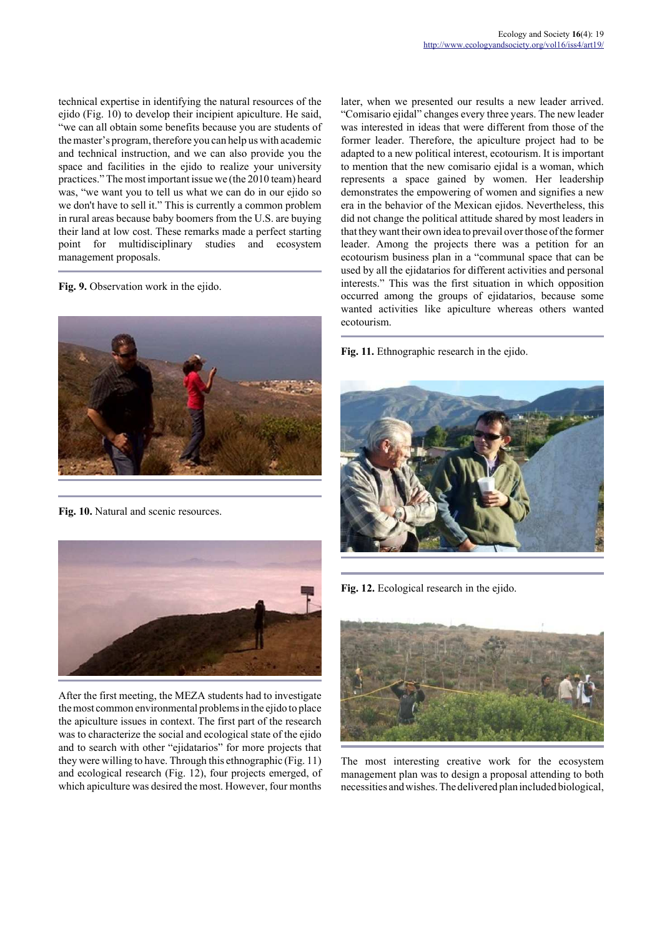technical expertise in identifying the natural resources of the ejido (Fig. 10) to develop their incipient apiculture. He said, "we can all obtain some benefits because you are students of the master's program, therefore you can help us with academic and technical instruction, and we can also provide you the space and facilities in the ejido to realize your university practices." The most important issue we (the 2010 team) heard was, "we want you to tell us what we can do in our ejido so we don't have to sell it." This is currently a common problem in rural areas because baby boomers from the U.S. are buying their land at low cost. These remarks made a perfect starting point for multidisciplinary studies and ecosystem management proposals.

**Fig. 9.** Observation work in the ejido.



**Fig. 10.** Natural and scenic resources.



After the first meeting, the MEZA students had to investigate the most common environmental problems in the ejido to place the apiculture issues in context. The first part of the research was to characterize the social and ecological state of the ejido and to search with other "ejidatarios" for more projects that they were willing to have. Through this ethnographic (Fig. 11) and ecological research (Fig. 12), four projects emerged, of which apiculture was desired the most. However, four months later, when we presented our results a new leader arrived. "Comisario ejidal" changes every three years. The new leader was interested in ideas that were different from those of the former leader. Therefore, the apiculture project had to be adapted to a new political interest, ecotourism. It is important to mention that the new comisario ejidal is a woman, which represents a space gained by women. Her leadership demonstrates the empowering of women and signifies a new era in the behavior of the Mexican ejidos. Nevertheless, this did not change the political attitude shared by most leaders in that they want their own idea to prevail over those of the former leader. Among the projects there was a petition for an ecotourism business plan in a "communal space that can be used by all the ejidatarios for different activities and personal interests." This was the first situation in which opposition occurred among the groups of ejidatarios, because some wanted activities like apiculture whereas others wanted ecotourism.

**Fig. 11.** Ethnographic research in the ejido.



**Fig. 12.** Ecological research in the ejido.



The most interesting creative work for the ecosystem management plan was to design a proposal attending to both necessities and wishes. The delivered plan included biological,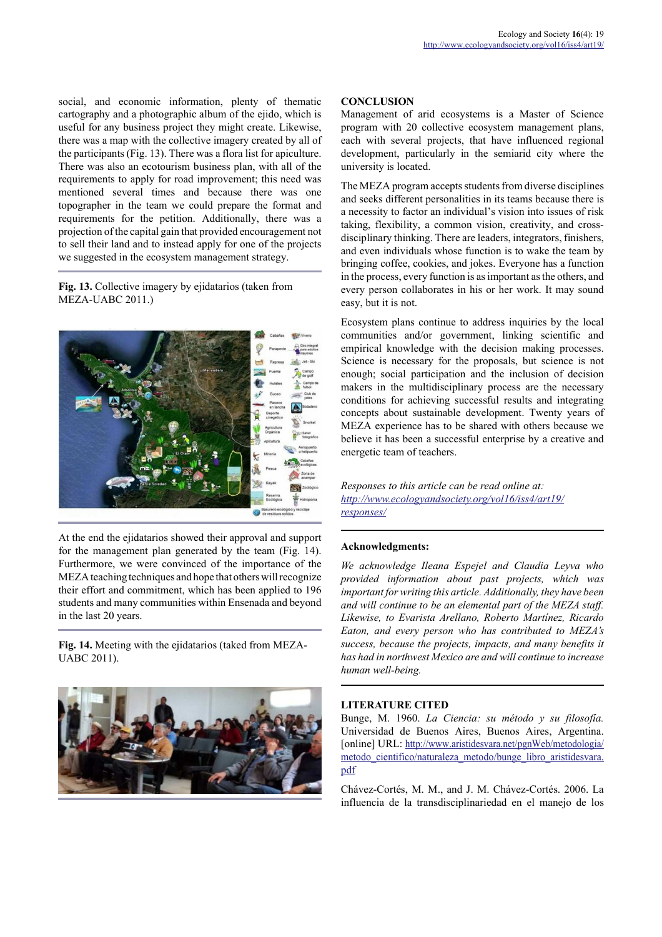social, and economic information, plenty of thematic cartography and a photographic album of the ejido, which is useful for any business project they might create. Likewise, there was a map with the collective imagery created by all of the participants (Fig. 13). There was a flora list for apiculture. There was also an ecotourism business plan, with all of the requirements to apply for road improvement; this need was mentioned several times and because there was one topographer in the team we could prepare the format and requirements for the petition. Additionally, there was a projection of the capital gain that provided encouragement not to sell their land and to instead apply for one of the projects we suggested in the ecosystem management strategy.

**Fig. 13.** Collective imagery by ejidatarios (taken from MEZA-UABC 2011.)



At the end the ejidatarios showed their approval and support for the management plan generated by the team (Fig. 14). Furthermore, we were convinced of the importance of the MEZA teaching techniques and hope that others will recognize their effort and commitment, which has been applied to 196 students and many communities within Ensenada and beyond in the last 20 years.

**Fig. 14.** Meeting with the ejidatarios (taked from MEZA-UABC 2011).



## **CONCLUSION**

Management of arid ecosystems is a Master of Science program with 20 collective ecosystem management plans, each with several projects, that have influenced regional development, particularly in the semiarid city where the university is located.

The MEZA program accepts students from diverse disciplines and seeks different personalities in its teams because there is a necessity to factor an individual's vision into issues of risk taking, flexibility, a common vision, creativity, and crossdisciplinary thinking. There are leaders, integrators, finishers, and even individuals whose function is to wake the team by bringing coffee, cookies, and jokes. Everyone has a function in the process, every function is as important as the others, and every person collaborates in his or her work. It may sound easy, but it is not.

Ecosystem plans continue to address inquiries by the local communities and/or government, linking scientific and empirical knowledge with the decision making processes. Science is necessary for the proposals, but science is not enough; social participation and the inclusion of decision makers in the multidisciplinary process are the necessary conditions for achieving successful results and integrating concepts about sustainable development. Twenty years of MEZA experience has to be shared with others because we believe it has been a successful enterprise by a creative and energetic team of teachers.

*Responses to this article can be read online at: http://www.ecologyandsociety.org/vol16/iss4/art19/ responses/*

#### **Acknowledgments:**

*We acknowledge Ileana Espejel and Claudia Leyva who provided information about past projects, which was important for writing this article. Additionally, they have been and will continue to be an elemental part of the MEZA staff. Likewise, to Evarista Arellano, Roberto Martínez, Ricardo Eaton, and every person who has contributed to MEZA's success, because the projects, impacts, and many benefits it has had in northwest Mexico are and will continue to increase human well-being.*

# **LITERATURE CITED**

Bunge, M. 1960. *La Ciencia: su método y su filosofía.* Universidad de Buenos Aires, Buenos Aires, Argentina. [online] URL: http://www.aristidesvara.net/pgnWeb/metodologia/ metodo cientifico/naturaleza metodo/bunge libro aristidesvara. pdf

Chávez-Cortés, M. M., and J. M. Chávez-Cortés. 2006. La influencia de la transdisciplinariedad en el manejo de los